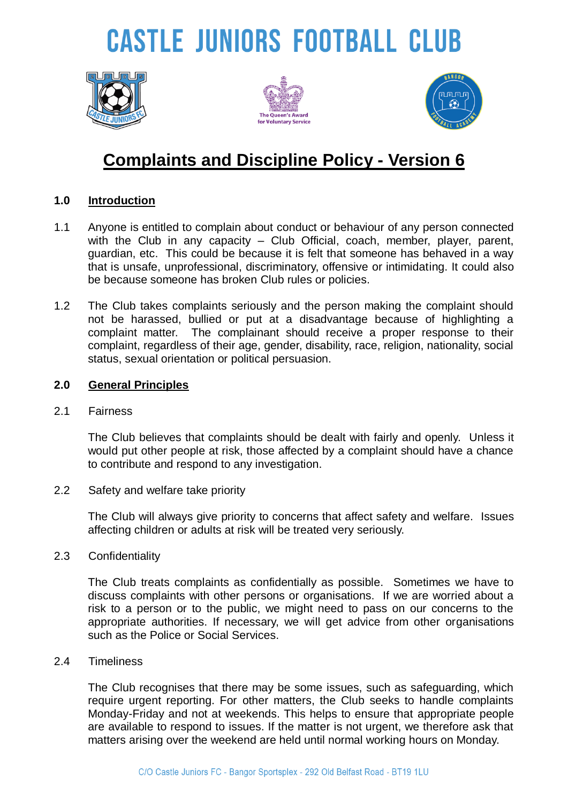# **CASTLE JUNIORS FOOTBALL CLUB**







### **Complaints and Discipline Policy - Version 6**

### **1.0 Introduction**

- 1.1 Anyone is entitled to complain about conduct or behaviour of any person connected with the Club in any capacity – Club Official, coach, member, player, parent, guardian, etc. This could be because it is felt that someone has behaved in a way that is unsafe, unprofessional, discriminatory, offensive or intimidating. It could also be because someone has broken Club rules or policies.
- 1.2 The Club takes complaints seriously and the person making the complaint should not be harassed, bullied or put at a disadvantage because of highlighting a complaint matter. The complainant should receive a proper response to their complaint, regardless of their age, gender, disability, race, religion, nationality, social status, sexual orientation or political persuasion.

### **2.0 General Principles**

2.1 Fairness

The Club believes that complaints should be dealt with fairly and openly. Unless it would put other people at risk, those affected by a complaint should have a chance to contribute and respond to any investigation.

2.2 Safety and welfare take priority

The Club will always give priority to concerns that affect safety and welfare. Issues affecting children or adults at risk will be treated very seriously.

2.3 Confidentiality

The Club treats complaints as confidentially as possible. Sometimes we have to discuss complaints with other persons or organisations. If we are worried about a risk to a person or to the public, we might need to pass on our concerns to the appropriate authorities. If necessary, we will get advice from other organisations such as the Police or Social Services.

2.4 Timeliness

The Club recognises that there may be some issues, such as safeguarding, which require urgent reporting. For other matters, the Club seeks to handle complaints Monday-Friday and not at weekends. This helps to ensure that appropriate people are available to respond to issues. If the matter is not urgent, we therefore ask that matters arising over the weekend are held until normal working hours on Monday.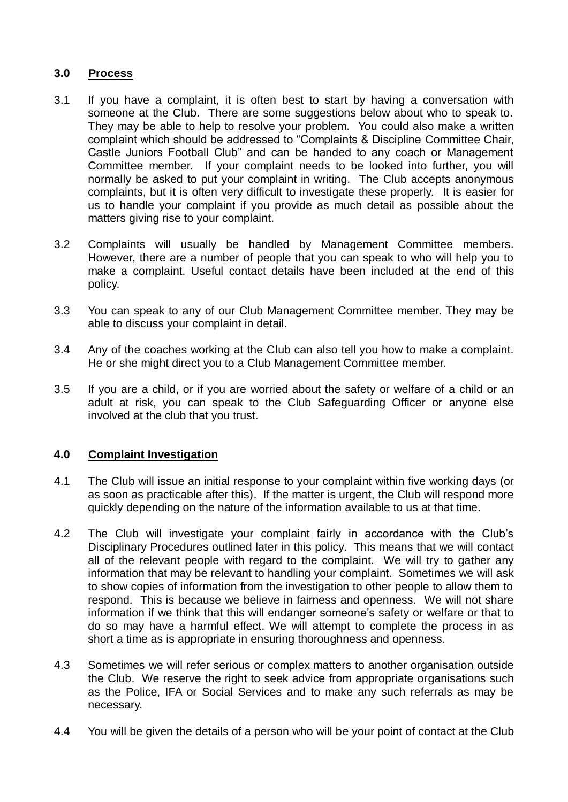### **3.0 Process**

- 3.1 If you have a complaint, it is often best to start by having a conversation with someone at the Club. There are some suggestions below about who to speak to. They may be able to help to resolve your problem. You could also make a written complaint which should be addressed to "Complaints & Discipline Committee Chair, Castle Juniors Football Club" and can be handed to any coach or Management Committee member. If your complaint needs to be looked into further, you will normally be asked to put your complaint in writing. The Club accepts anonymous complaints, but it is often very difficult to investigate these properly. It is easier for us to handle your complaint if you provide as much detail as possible about the matters giving rise to your complaint.
- 3.2 Complaints will usually be handled by Management Committee members. However, there are a number of people that you can speak to who will help you to make a complaint. Useful contact details have been included at the end of this policy.
- 3.3 You can speak to any of our Club Management Committee member. They may be able to discuss your complaint in detail.
- 3.4 Any of the coaches working at the Club can also tell you how to make a complaint. He or she might direct you to a Club Management Committee member.
- 3.5 If you are a child, or if you are worried about the safety or welfare of a child or an adult at risk, you can speak to the Club Safeguarding Officer or anyone else involved at the club that you trust.

### **4.0 Complaint Investigation**

- 4.1 The Club will issue an initial response to your complaint within five working days (or as soon as practicable after this). If the matter is urgent, the Club will respond more quickly depending on the nature of the information available to us at that time.
- 4.2 The Club will investigate your complaint fairly in accordance with the Club's Disciplinary Procedures outlined later in this policy. This means that we will contact all of the relevant people with regard to the complaint. We will try to gather any information that may be relevant to handling your complaint. Sometimes we will ask to show copies of information from the investigation to other people to allow them to respond. This is because we believe in fairness and openness. We will not share information if we think that this will endanger someone's safety or welfare or that to do so may have a harmful effect. We will attempt to complete the process in as short a time as is appropriate in ensuring thoroughness and openness.
- 4.3 Sometimes we will refer serious or complex matters to another organisation outside the Club. We reserve the right to seek advice from appropriate organisations such as the Police, IFA or Social Services and to make any such referrals as may be necessary.
- 4.4 You will be given the details of a person who will be your point of contact at the Club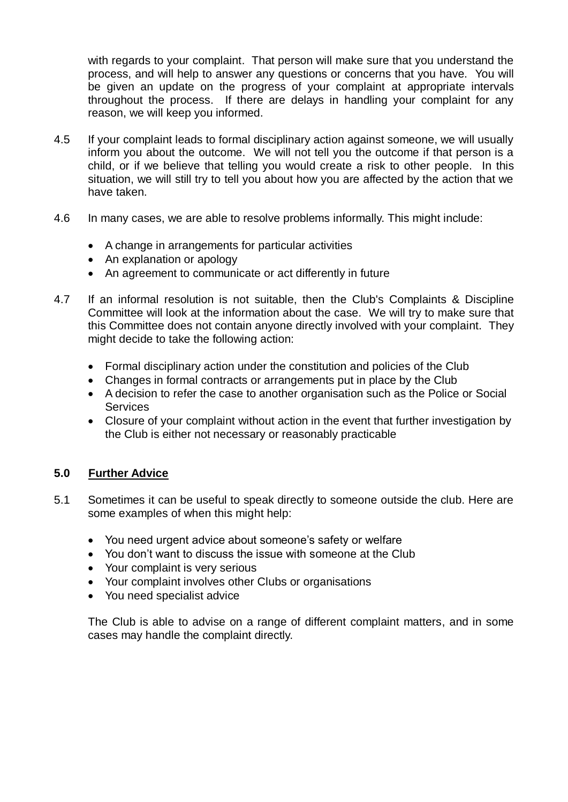with regards to your complaint. That person will make sure that you understand the process, and will help to answer any questions or concerns that you have. You will be given an update on the progress of your complaint at appropriate intervals throughout the process. If there are delays in handling your complaint for any reason, we will keep you informed.

- 4.5 If your complaint leads to formal disciplinary action against someone, we will usually inform you about the outcome. We will not tell you the outcome if that person is a child, or if we believe that telling you would create a risk to other people. In this situation, we will still try to tell you about how you are affected by the action that we have taken.
- 4.6 In many cases, we are able to resolve problems informally. This might include:
	- A change in arrangements for particular activities
	- An explanation or apology
	- An agreement to communicate or act differently in future
- 4.7 If an informal resolution is not suitable, then the Club's Complaints & Discipline Committee will look at the information about the case. We will try to make sure that this Committee does not contain anyone directly involved with your complaint. They might decide to take the following action:
	- Formal disciplinary action under the constitution and policies of the Club
	- Changes in formal contracts or arrangements put in place by the Club
	- A decision to refer the case to another organisation such as the Police or Social **Services**
	- Closure of your complaint without action in the event that further investigation by the Club is either not necessary or reasonably practicable

### **5.0 Further Advice**

- 5.1 Sometimes it can be useful to speak directly to someone outside the club. Here are some examples of when this might help:
	- You need urgent advice about someone's safety or welfare
	- You don't want to discuss the issue with someone at the Club
	- Your complaint is very serious
	- Your complaint involves other Clubs or organisations
	- You need specialist advice

The Club is able to advise on a range of different complaint matters, and in some cases may handle the complaint directly.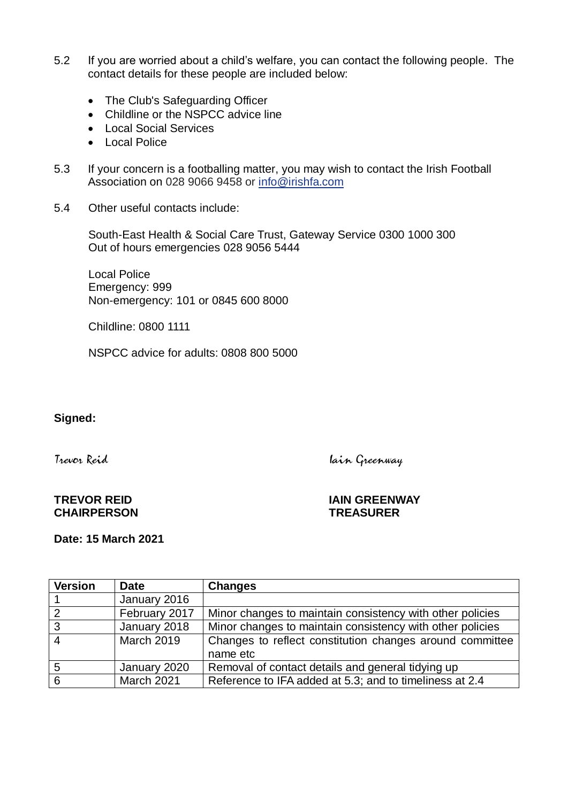- 5.2 If you are worried about a child's welfare, you can contact the following people. The contact details for these people are included below:
	- The Club's Safeguarding Officer
	- Childline or the NSPCC advice line
	- Local Social Services
	- Local Police
- 5.3 If your concern is a footballing matter, you may wish to contact the Irish Football Association on 028 9066 9458 or [info@irishfa.com](mailto:info@irishfa.com)
- 5.4 Other useful contacts include:

South-East Health & Social Care Trust, Gateway Service 0300 1000 300 Out of hours emergencies 028 [9056 5444](tel:02890565444)

Local Police Emergency: 999 Non-emergency: 101 or 0845 600 8000

Childline: 0800 1111

NSPCC advice for adults: 0808 800 5000

### **Signed:**

Trevor Reid Iain Greenway

## **CHAIRPERSON TREASURER**

**TREVOR REID IAIN GREENWAY**

**Date: 15 March 2021**

| <b>Version</b> | <b>Date</b>       | <b>Changes</b>                                            |
|----------------|-------------------|-----------------------------------------------------------|
|                | January 2016      |                                                           |
| $\overline{2}$ | February 2017     | Minor changes to maintain consistency with other policies |
| $\overline{3}$ | January 2018      | Minor changes to maintain consistency with other policies |
| $\overline{4}$ | <b>March 2019</b> | Changes to reflect constitution changes around committee  |
|                |                   | name etc                                                  |
| -5             | January 2020      | Removal of contact details and general tidying up         |
| 6              | <b>March 2021</b> | Reference to IFA added at 5.3; and to timeliness at 2.4   |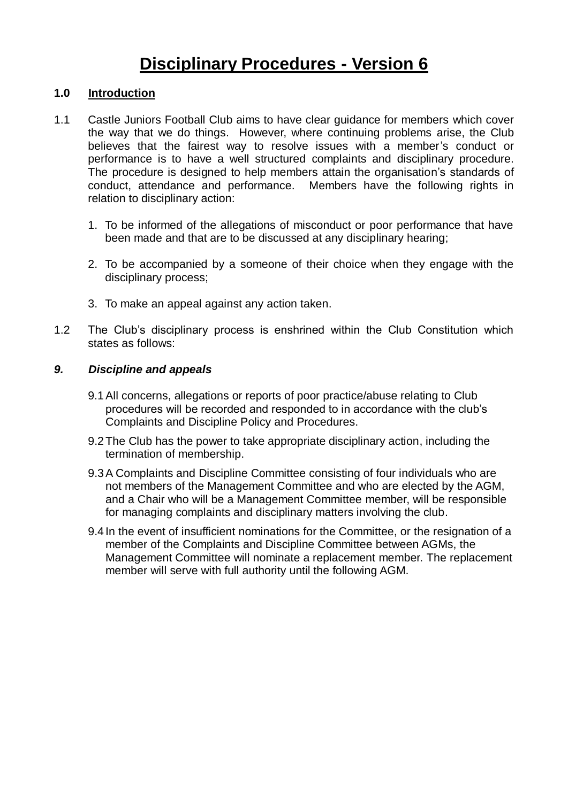### **Disciplinary Procedures - Version 6**

### **1.0 Introduction**

- 1.1 Castle Juniors Football Club aims to have clear guidance for members which cover the way that we do things. However, where continuing problems arise, the Club believes that the fairest way to resolve issues with a member's conduct or performance is to have a well structured complaints and disciplinary procedure. The procedure is designed to help members attain the organisation's standards of conduct, attendance and performance. Members have the following rights in relation to disciplinary action:
	- 1. To be informed of the allegations of misconduct or poor performance that have been made and that are to be discussed at any disciplinary hearing;
	- 2. To be accompanied by a someone of their choice when they engage with the disciplinary process;
	- 3. To make an appeal against any action taken.
- 1.2 The Club's disciplinary process is enshrined within the Club Constitution which states as follows:

#### *9. Discipline and appeals*

- 9.1All concerns, allegations or reports of poor practice/abuse relating to Club procedures will be recorded and responded to in accordance with the club's Complaints and Discipline Policy and Procedures.
- 9.2The Club has the power to take appropriate disciplinary action, including the termination of membership.
- 9.3A Complaints and Discipline Committee consisting of four individuals who are not members of the Management Committee and who are elected by the AGM, and a Chair who will be a Management Committee member, will be responsible for managing complaints and disciplinary matters involving the club.
- 9.4 In the event of insufficient nominations for the Committee, or the resignation of a member of the Complaints and Discipline Committee between AGMs, the Management Committee will nominate a replacement member. The replacement member will serve with full authority until the following AGM.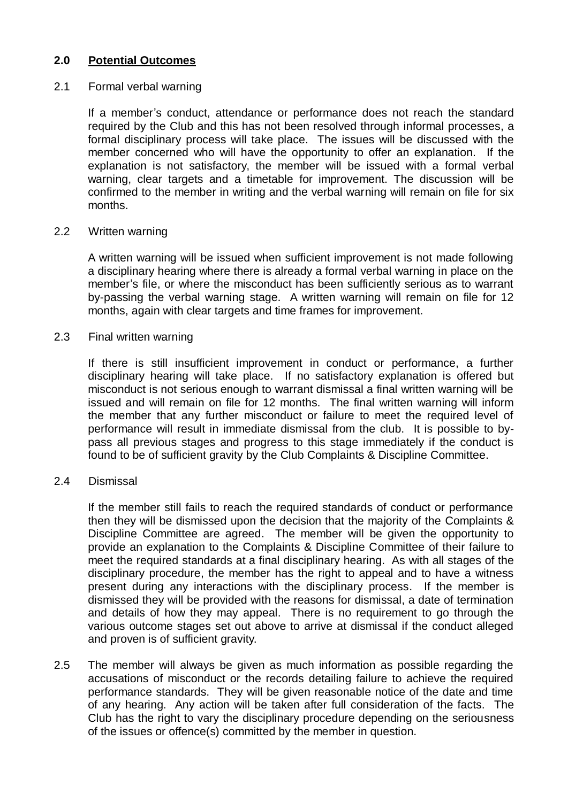### **2.0 Potential Outcomes**

### 2.1 Formal verbal warning

If a member's conduct, attendance or performance does not reach the standard required by the Club and this has not been resolved through informal processes, a formal disciplinary process will take place. The issues will be discussed with the member concerned who will have the opportunity to offer an explanation. If the explanation is not satisfactory, the member will be issued with a formal verbal warning, clear targets and a timetable for improvement. The discussion will be confirmed to the member in writing and the verbal warning will remain on file for six months.

### 2.2 Written warning

A written warning will be issued when sufficient improvement is not made following a disciplinary hearing where there is already a formal verbal warning in place on the member's file, or where the misconduct has been sufficiently serious as to warrant by-passing the verbal warning stage. A written warning will remain on file for 12 months, again with clear targets and time frames for improvement.

### 2.3 Final written warning

If there is still insufficient improvement in conduct or performance, a further disciplinary hearing will take place. If no satisfactory explanation is offered but misconduct is not serious enough to warrant dismissal a final written warning will be issued and will remain on file for 12 months. The final written warning will inform the member that any further misconduct or failure to meet the required level of performance will result in immediate dismissal from the club. It is possible to bypass all previous stages and progress to this stage immediately if the conduct is found to be of sufficient gravity by the Club Complaints & Discipline Committee.

#### 2.4 Dismissal

If the member still fails to reach the required standards of conduct or performance then they will be dismissed upon the decision that the majority of the Complaints & Discipline Committee are agreed. The member will be given the opportunity to provide an explanation to the Complaints & Discipline Committee of their failure to meet the required standards at a final disciplinary hearing. As with all stages of the disciplinary procedure, the member has the right to appeal and to have a witness present during any interactions with the disciplinary process. If the member is dismissed they will be provided with the reasons for dismissal, a date of termination and details of how they may appeal. There is no requirement to go through the various outcome stages set out above to arrive at dismissal if the conduct alleged and proven is of sufficient gravity.

2.5 The member will always be given as much information as possible regarding the accusations of misconduct or the records detailing failure to achieve the required performance standards. They will be given reasonable notice of the date and time of any hearing. Any action will be taken after full consideration of the facts. The Club has the right to vary the disciplinary procedure depending on the seriousness of the issues or offence(s) committed by the member in question.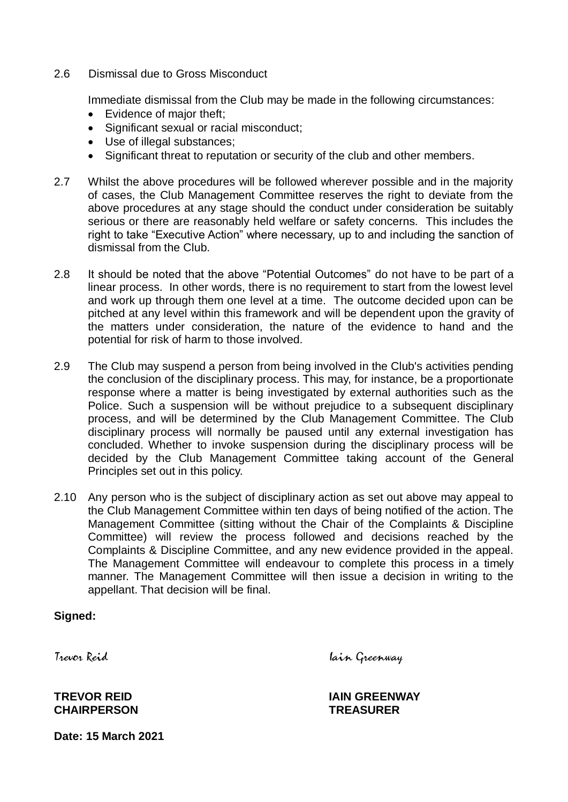2.6 Dismissal due to Gross Misconduct

Immediate dismissal from the Club may be made in the following circumstances:

- Evidence of major theft;
- Significant sexual or racial misconduct:
- Use of illegal substances;
- Significant threat to reputation or security of the club and other members.
- 2.7 Whilst the above procedures will be followed wherever possible and in the majority of cases, the Club Management Committee reserves the right to deviate from the above procedures at any stage should the conduct under consideration be suitably serious or there are reasonably held welfare or safety concerns. This includes the right to take "Executive Action" where necessary, up to and including the sanction of dismissal from the Club.
- 2.8 It should be noted that the above "Potential Outcomes" do not have to be part of a linear process. In other words, there is no requirement to start from the lowest level and work up through them one level at a time. The outcome decided upon can be pitched at any level within this framework and will be dependent upon the gravity of the matters under consideration, the nature of the evidence to hand and the potential for risk of harm to those involved.
- 2.9 The Club may suspend a person from being involved in the Club's activities pending the conclusion of the disciplinary process. This may, for instance, be a proportionate response where a matter is being investigated by external authorities such as the Police. Such a suspension will be without prejudice to a subsequent disciplinary process, and will be determined by the Club Management Committee. The Club disciplinary process will normally be paused until any external investigation has concluded. Whether to invoke suspension during the disciplinary process will be decided by the Club Management Committee taking account of the General Principles set out in this policy.
- 2.10 Any person who is the subject of disciplinary action as set out above may appeal to the Club Management Committee within ten days of being notified of the action. The Management Committee (sitting without the Chair of the Complaints & Discipline Committee) will review the process followed and decisions reached by the Complaints & Discipline Committee, and any new evidence provided in the appeal. The Management Committee will endeavour to complete this process in a timely manner. The Management Committee will then issue a decision in writing to the appellant. That decision will be final.

### **Signed:**

Trevor Reid Iain Greenway

**CHAIRPERSON TREASURER**

**TREVOR REID IAIN GREENWAY**

**Date: 15 March 2021**